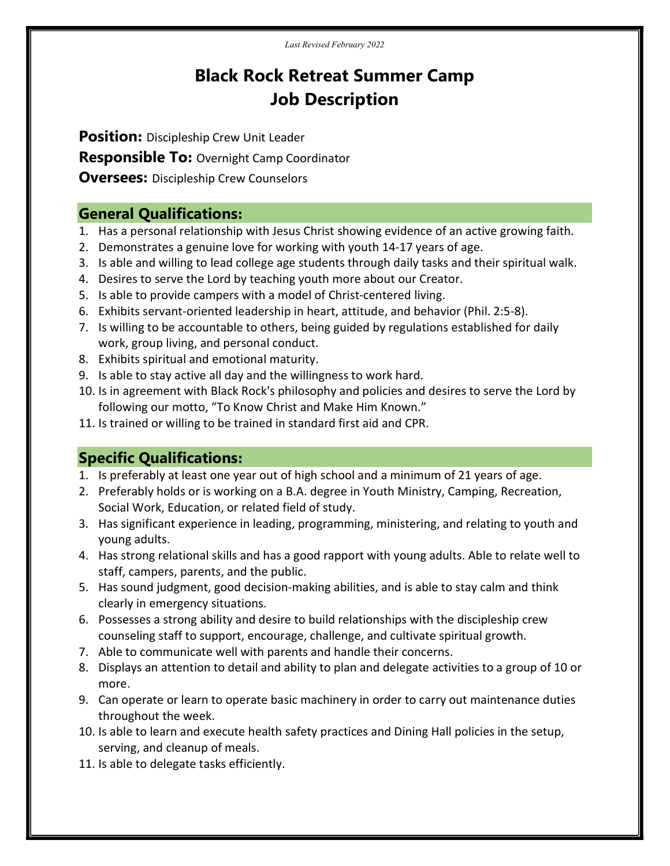Last Revised February 2022

# Black Rock Retreat Summer Camp Job Description

Position: Discipleship Crew Unit Leader

**Responsible To: Overnight Camp Coordinator** 

**Oversees:** Discipleship Crew Counselors

### General Qualifications:

- 1. Has a personal relationship with Jesus Christ showing evidence of an active growing faith.
- 2. Demonstrates a genuine love for working with youth 14-17 years of age.
- 3. Is able and willing to lead college age students through daily tasks and their spiritual walk.
- 4. Desires to serve the Lord by teaching youth more about our Creator.
- 5. Is able to provide campers with a model of Christ-centered living.
- 6. Exhibits servant-oriented leadership in heart, attitude, and behavior (Phil. 2:5-8).
- 7. Is willing to be accountable to others, being guided by regulations established for daily work, group living, and personal conduct.
- 8. Exhibits spiritual and emotional maturity.
- 9. Is able to stay active all day and the willingness to work hard.
- 10. Is in agreement with Black Rock's philosophy and policies and desires to serve the Lord by following our motto, "To Know Christ and Make Him Known."
- 11. Is trained or willing to be trained in standard first aid and CPR.

## Specific Qualifications:

- 1. Is preferably at least one year out of high school and a minimum of 21 years of age.
- 2. Preferably holds or is working on a B.A. degree in Youth Ministry, Camping, Recreation, Social Work, Education, or related field of study.
- 3. Has significant experience in leading, programming, ministering, and relating to youth and young adults.
- 4. Has strong relational skills and has a good rapport with young adults. Able to relate well to staff, campers, parents, and the public.
- 5. Has sound judgment, good decision-making abilities, and is able to stay calm and think clearly in emergency situations.
- 6. Possesses a strong ability and desire to build relationships with the discipleship crew counseling staff to support, encourage, challenge, and cultivate spiritual growth.
- 7. Able to communicate well with parents and handle their concerns.
- 8. Displays an attention to detail and ability to plan and delegate activities to a group of 10 or more.
- 9. Can operate or learn to operate basic machinery in order to carry out maintenance duties throughout the week.
- 10. Is able to learn and execute health safety practices and Dining Hall policies in the setup, serving, and cleanup of meals.
- 11. Is able to delegate tasks efficiently.